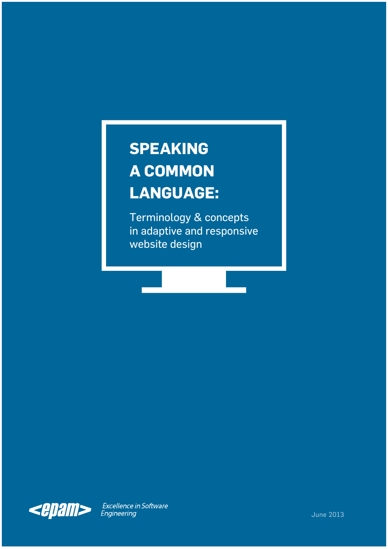### **SPEAKING A COMMON LANGUAGE:**

Terminology & concepts in adaptive and responsive website design



Excellence in Software<br>Engineering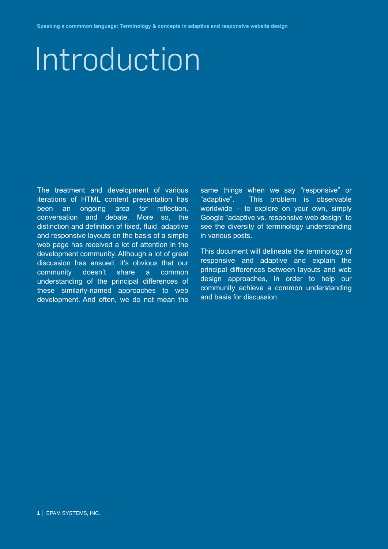# Introduction

The treatment and development of various iterations of HTML content presentation has been an ongoing area for reflection, conversation and debate. More so, the distinction and definition of fixed, fluid, adaptive and responsive layouts on the basis of a simple web page has received a lot of attention in the development community. Although a lot of great discussion has ensued, it's obvious that our community doesn't share a common understanding of the principal differences of these similarly-named approaches to web development. And often, we do not mean the same things when we say "responsive" or "adaptive". This problem is observable worldwide – to explore on your own, simply Google "adaptive vs. responsive web design" to see the diversity of terminology understanding in various posts.

This document will delineate the terminology of responsive and adaptive and explain the principal differences between layouts and web design approaches, in order to help our community achieve a common understanding and basis for discussion.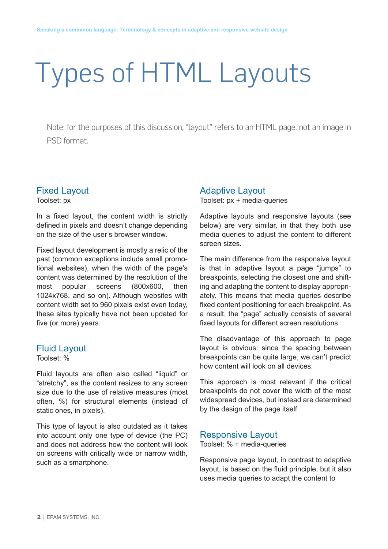## Types of HTML Layouts

Note: for the purposes of this discussion, "layout" refers to an HTML page, not an image in PSD format.

#### Fixed Layout

Toolset: px

In a fixed layout, the content width is strictly defined in pixels and doesn't change depending on the size of the user's browser window.

Fixed layout development is mostly a relic of the past (common exceptions include small promotional websites), when the width of the page's content was determined by the resolution of the most popular screens (800x600, then 1024x768, and so on). Although websites with content width set to 960 pixels exist even today, these sites typically have not been updated for five (or more) years.

#### Fluid Layout

Toolset: %

Fluid layouts are often also called "liquid" or "stretchy", as the content resizes to any screen size due to the use of relative measures (most often, %) for structural elements (instead of static ones, in pixels).

This type of layout is also outdated as it takes into account only one type of device (the PC) and does not address how the content will look on screens with critically wide or narrow width, such as a smartphone.

#### Adaptive Layout

Toolset: px + media-queries

Adaptive layouts and responsive layouts (see below) are very similar, in that they both use media queries to adjust the content to different screen sizes.

The main difference from the responsive layout is that in adaptive layout a page "jumps" to breakpoints, selecting the closest one and shifting and adapting the content to display appropriately. This means that media queries describe fixed content positioning for each breakpoint. As a result, the "page" actually consists of several fixed layouts for different screen resolutions.

The disadvantage of this approach to page layout is obvious: since the spacing between breakpoints can be quite large, we can't predict how content will look on all devices.

This approach is most relevant if the critical breakpoints do not cover the width of the most widespread devices, but instead are determined by the design of the page itself.

#### Responsive Layout

Toolset: % + media-queries

Responsive page layout, in contrast to adaptive layout, is based on the fluid principle, but it also uses media queries to adapt the content to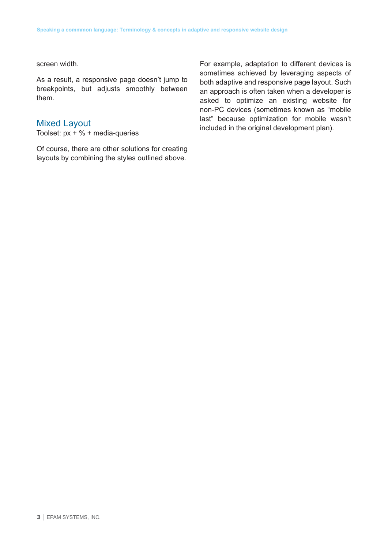screen width.

As a result, a responsive page doesn't jump to breakpoints, but adjusts smoothly between them.

#### Mixed Layout

Toolset:  $px + \% + median$ -queries

Of course, there are other solutions for creating layouts by combining the styles outlined above.

For example, adaptation to different devices is sometimes achieved by leveraging aspects of both adaptive and responsive page layout. Such an approach is often taken when a developer is asked to optimize an existing website for non-PC devices (sometimes known as "mobile last" because optimization for mobile wasn't included in the original development plan).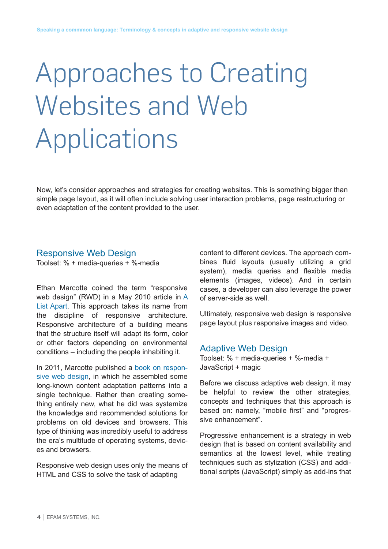## Approaches to Creating Websites and Web Applications

Now, let's consider approaches and strategies for creating websites. This is something bigger than simple page layout, as it will often include solving user interaction problems, page restructuring or even adaptation of the content provided to the user.

#### Responsive Web Design

Toolset: % + media-queries + %-media

Ethan Marcotte coined the term "responsive web design" (RWD) in a May 2010 article in [A](http://alistapart.com/article/responsive-web-design)  [List Apart.](http://alistapart.com/article/responsive-web-design) This approach takes its name from the discipline of responsive architecture. Responsive architecture of a building means that the structure itself will adapt its form, color or other factors depending on environmental conditions – including the people inhabiting it.

In 2011, Marcotte published a [book on respon](http://www.abookapart.com/products/responsive-web-design)[sive web design,](http://www.abookapart.com/products/responsive-web-design) in which he assembled some long-known content adaptation patterns into a single technique. Rather than creating something entirely new, what he did was systemize the knowledge and recommended solutions for problems on old devices and browsers. This type of thinking was incredibly useful to address the era's multitude of operating systems, devices and browsers.

Responsive web design uses only the means of HTML and CSS to solve the task of adapting

content to different devices. The approach combines fluid layouts (usually utilizing a grid system), media queries and flexible media elements (images, videos). And in certain cases, a developer can also leverage the power of server-side as well.

Ultimately, responsive web design is responsive page layout plus responsive images and video.

#### Adaptive Web Design

Toolset: % + media-queries + %-media + JavaScript + magic

Before we discuss adaptive web design, it may be helpful to review the other strategies, concepts and techniques that this approach is based on: namely, "mobile first" and "progressive enhancement".

Progressive enhancement is a strategy in web design that is based on content availability and semantics at the lowest level, while treating techniques such as stylization (CSS) and additional scripts (JavaScript) simply as add-ins that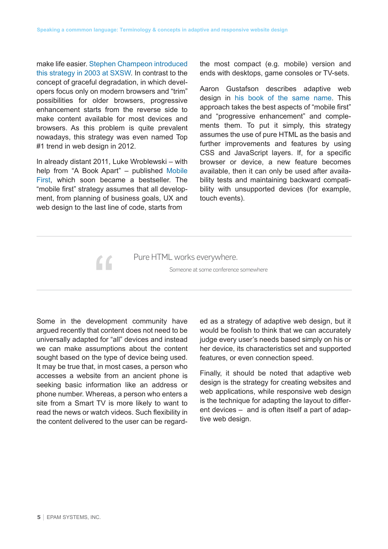make life easier. [Stephen Champeon introduced](http://www.hesketh.com/thought-leadership/our-publications/inclusive-web-design-future)  [this strategy in 2003 at SXSW.](http://www.hesketh.com/thought-leadership/our-publications/inclusive-web-design-future) In contrast to the concept of graceful degradation, in which developers focus only on modern browsers and "trim" possibilities for older browsers, progressive enhancement starts from the reverse side to make content available for most devices and browsers. As this problem is quite prevalent nowadays, this strategy was even named Top #1 trend in web design in 2012.

In already distant 2011, Luke Wroblewski – with help from "A Book Apart" – published [Mobile](http://www.abookapart.com/products/mobile-first)  [First,](http://www.abookapart.com/products/mobile-first) which soon became a bestseller. The "mobile first" strategy assumes that all development, from planning of business goals, UX and web design to the last line of code, starts from

 $\epsilon$ 

the most compact (e.g. mobile) version and ends with desktops, game consoles or TV-sets.

Aaron Gustafson describes adaptive web design in [his book of the same name.](http://easy-readers.net/books/adaptive-web-design/) This approach takes the best aspects of "mobile first" and "progressive enhancement" and complements them. To put it simply, this strategy assumes the use of pure HTML as the basis and further improvements and features by using CSS and JavaScript layers. If, for a specific browser or device, a new feature becomes available, then it can only be used after availability tests and maintaining backward compatibility with unsupported devices (for example, touch events).

Pure HTML works everywhere.

Someone at some conference somewhere

Some in the development community have argued recently that content does not need to be universally adapted for "all" devices and instead we can make assumptions about the content sought based on the type of device being used. It may be true that, in most cases, a person who accesses a website from an ancient phone is seeking basic information like an address or phone number. Whereas, a person who enters a site from a Smart TV is more likely to want to read the news or watch videos. Such flexibility in the content delivered to the user can be regarded as a strategy of adaptive web design, but it would be foolish to think that we can accurately judge every user's needs based simply on his or her device, its characteristics set and supported features, or even connection speed.

Finally, it should be noted that adaptive web design is the strategy for creating websites and web applications, while responsive web design is the technique for adapting the layout to different devices – and is often itself a part of adaptive web design.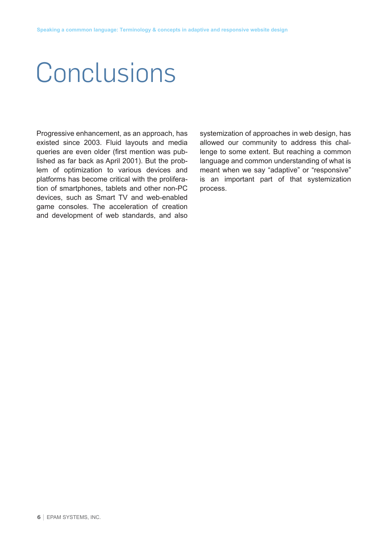### **Conclusions**

Progressive enhancement, as an approach, has existed since 2003. Fluid layouts and media queries are even older (first mention was published as far back as April 2001). But the problem of optimization to various devices and platforms has become critical with the proliferation of smartphones, tablets and other non-PC devices, such as Smart TV and web-enabled game consoles. The acceleration of creation and development of web standards, and also systemization of approaches in web design, has allowed our community to address this challenge to some extent. But reaching a common language and common understanding of what is meant when we say "adaptive" or "responsive" is an important part of that systemization process.